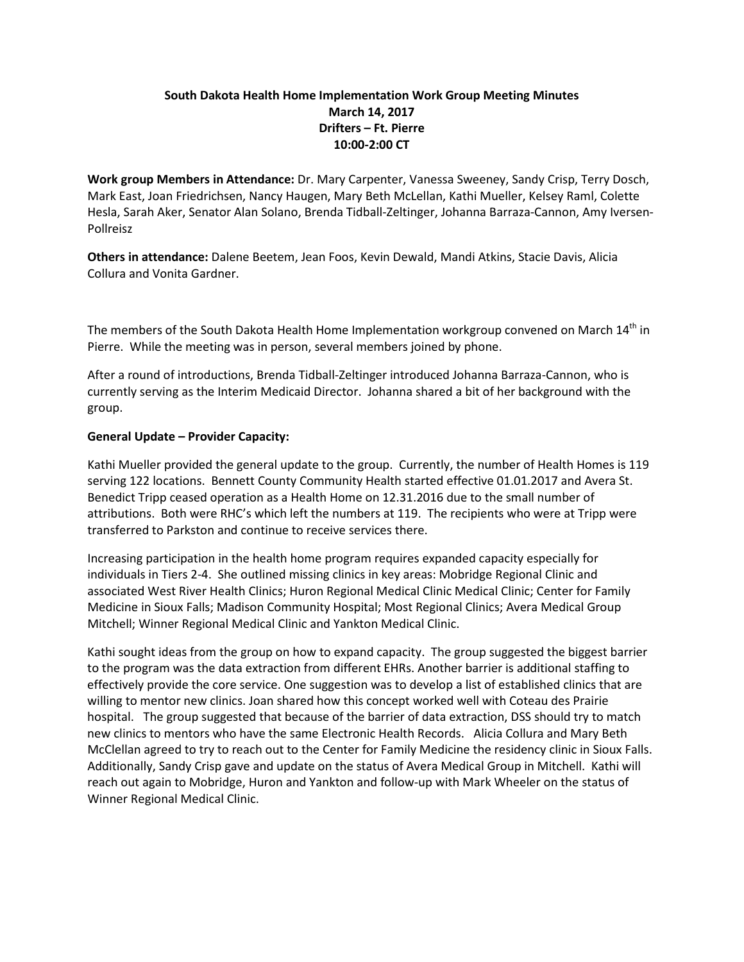# **South Dakota Health Home Implementation Work Group Meeting Minutes March 14, 2017 Drifters – Ft. Pierre 10:00-2:00 CT**

**Work group Members in Attendance:** Dr. Mary Carpenter, Vanessa Sweeney, Sandy Crisp, Terry Dosch, Mark East, Joan Friedrichsen, Nancy Haugen, Mary Beth McLellan, Kathi Mueller, Kelsey Raml, Colette Hesla, Sarah Aker, Senator Alan Solano, Brenda Tidball-Zeltinger, Johanna Barraza-Cannon, Amy Iversen-Pollreisz

**Others in attendance:** Dalene Beetem, Jean Foos, Kevin Dewald, Mandi Atkins, Stacie Davis, Alicia Collura and Vonita Gardner.

The members of the South Dakota Health Home Implementation workgroup convened on March 14th in Pierre. While the meeting was in person, several members joined by phone.

After a round of introductions, Brenda Tidball-Zeltinger introduced Johanna Barraza-Cannon, who is currently serving as the Interim Medicaid Director. Johanna shared a bit of her background with the group.

## **General Update – Provider Capacity:**

Kathi Mueller provided the general update to the group. Currently, the number of Health Homes is 119 serving 122 locations. Bennett County Community Health started effective 01.01.2017 and Avera St. Benedict Tripp ceased operation as a Health Home on 12.31.2016 due to the small number of attributions. Both were RHC's which left the numbers at 119. The recipients who were at Tripp were transferred to Parkston and continue to receive services there.

Increasing participation in the health home program requires expanded capacity especially for individuals in Tiers 2-4. She outlined missing clinics in key areas: Mobridge Regional Clinic and associated West River Health Clinics; Huron Regional Medical Clinic Medical Clinic; Center for Family Medicine in Sioux Falls; Madison Community Hospital; Most Regional Clinics; Avera Medical Group Mitchell; Winner Regional Medical Clinic and Yankton Medical Clinic.

Kathi sought ideas from the group on how to expand capacity. The group suggested the biggest barrier to the program was the data extraction from different EHRs. Another barrier is additional staffing to effectively provide the core service. One suggestion was to develop a list of established clinics that are willing to mentor new clinics. Joan shared how this concept worked well with Coteau des Prairie hospital. The group suggested that because of the barrier of data extraction, DSS should try to match new clinics to mentors who have the same Electronic Health Records. Alicia Collura and Mary Beth McClellan agreed to try to reach out to the Center for Family Medicine the residency clinic in Sioux Falls. Additionally, Sandy Crisp gave and update on the status of Avera Medical Group in Mitchell. Kathi will reach out again to Mobridge, Huron and Yankton and follow-up with Mark Wheeler on the status of Winner Regional Medical Clinic.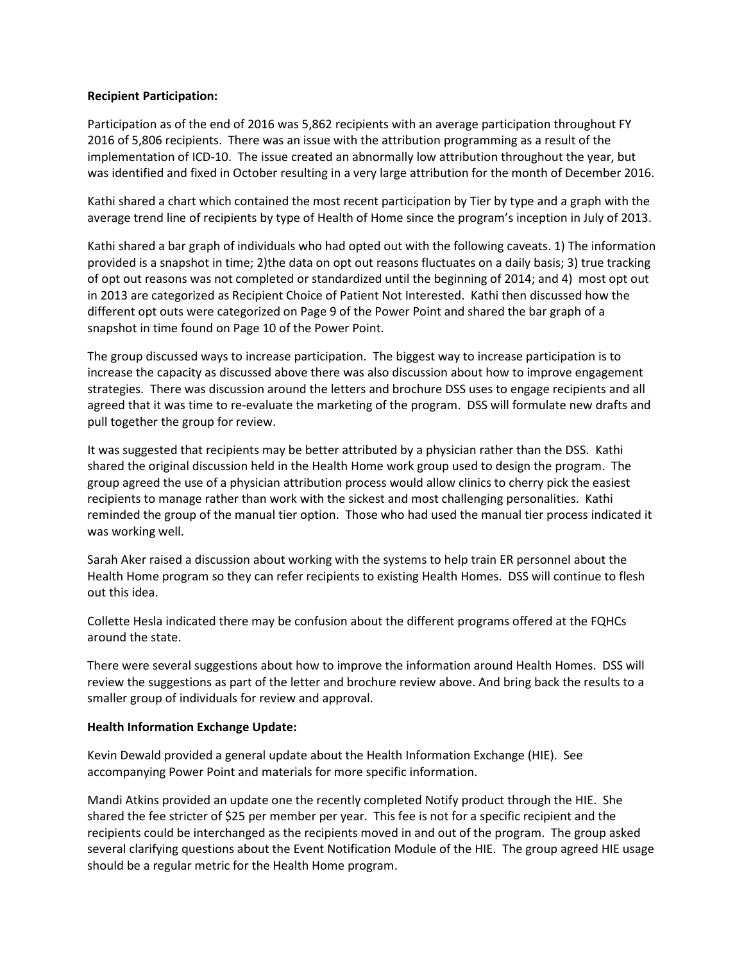#### **Recipient Participation:**

Participation as of the end of 2016 was 5,862 recipients with an average participation throughout FY 2016 of 5,806 recipients. There was an issue with the attribution programming as a result of the implementation of ICD-10. The issue created an abnormally low attribution throughout the year, but was identified and fixed in October resulting in a very large attribution for the month of December 2016.

Kathi shared a chart which contained the most recent participation by Tier by type and a graph with the average trend line of recipients by type of Health of Home since the program's inception in July of 2013.

Kathi shared a bar graph of individuals who had opted out with the following caveats. 1) The information provided is a snapshot in time; 2)the data on opt out reasons fluctuates on a daily basis; 3) true tracking of opt out reasons was not completed or standardized until the beginning of 2014; and 4) most opt out in 2013 are categorized as Recipient Choice of Patient Not Interested. Kathi then discussed how the different opt outs were categorized on Page 9 of the Power Point and shared the bar graph of a snapshot in time found on Page 10 of the Power Point.

The group discussed ways to increase participation. The biggest way to increase participation is to increase the capacity as discussed above there was also discussion about how to improve engagement strategies. There was discussion around the letters and brochure DSS uses to engage recipients and all agreed that it was time to re-evaluate the marketing of the program. DSS will formulate new drafts and pull together the group for review.

It was suggested that recipients may be better attributed by a physician rather than the DSS. Kathi shared the original discussion held in the Health Home work group used to design the program. The group agreed the use of a physician attribution process would allow clinics to cherry pick the easiest recipients to manage rather than work with the sickest and most challenging personalities. Kathi reminded the group of the manual tier option. Those who had used the manual tier process indicated it was working well.

Sarah Aker raised a discussion about working with the systems to help train ER personnel about the Health Home program so they can refer recipients to existing Health Homes. DSS will continue to flesh out this idea.

Collette Hesla indicated there may be confusion about the different programs offered at the FQHCs around the state.

There were several suggestions about how to improve the information around Health Homes. DSS will review the suggestions as part of the letter and brochure review above. And bring back the results to a smaller group of individuals for review and approval.

#### **Health Information Exchange Update:**

Kevin Dewald provided a general update about the Health Information Exchange (HIE). See accompanying Power Point and materials for more specific information.

Mandi Atkins provided an update one the recently completed Notify product through the HIE. She shared the fee stricter of \$25 per member per year. This fee is not for a specific recipient and the recipients could be interchanged as the recipients moved in and out of the program. The group asked several clarifying questions about the Event Notification Module of the HIE. The group agreed HIE usage should be a regular metric for the Health Home program.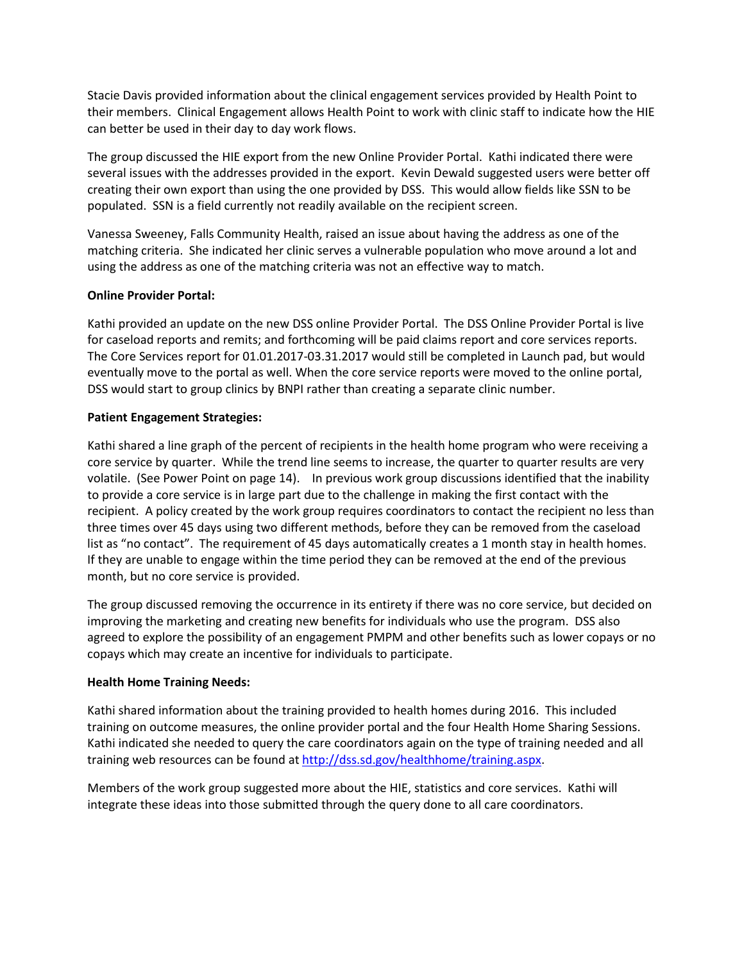Stacie Davis provided information about the clinical engagement services provided by Health Point to their members. Clinical Engagement allows Health Point to work with clinic staff to indicate how the HIE can better be used in their day to day work flows.

The group discussed the HIE export from the new Online Provider Portal. Kathi indicated there were several issues with the addresses provided in the export. Kevin Dewald suggested users were better off creating their own export than using the one provided by DSS. This would allow fields like SSN to be populated. SSN is a field currently not readily available on the recipient screen.

Vanessa Sweeney, Falls Community Health, raised an issue about having the address as one of the matching criteria. She indicated her clinic serves a vulnerable population who move around a lot and using the address as one of the matching criteria was not an effective way to match.

## **Online Provider Portal:**

Kathi provided an update on the new DSS online Provider Portal. The DSS Online Provider Portal is live for caseload reports and remits; and forthcoming will be paid claims report and core services reports. The Core Services report for 01.01.2017-03.31.2017 would still be completed in Launch pad, but would eventually move to the portal as well. When the core service reports were moved to the online portal, DSS would start to group clinics by BNPI rather than creating a separate clinic number.

# **Patient Engagement Strategies:**

Kathi shared a line graph of the percent of recipients in the health home program who were receiving a core service by quarter. While the trend line seems to increase, the quarter to quarter results are very volatile. (See Power Point on page 14). In previous work group discussions identified that the inability to provide a core service is in large part due to the challenge in making the first contact with the recipient. A policy created by the work group requires coordinators to contact the recipient no less than three times over 45 days using two different methods, before they can be removed from the caseload list as "no contact". The requirement of 45 days automatically creates a 1 month stay in health homes. If they are unable to engage within the time period they can be removed at the end of the previous month, but no core service is provided.

The group discussed removing the occurrence in its entirety if there was no core service, but decided on improving the marketing and creating new benefits for individuals who use the program. DSS also agreed to explore the possibility of an engagement PMPM and other benefits such as lower copays or no copays which may create an incentive for individuals to participate.

# **Health Home Training Needs:**

Kathi shared information about the training provided to health homes during 2016. This included training on outcome measures, the online provider portal and the four Health Home Sharing Sessions. Kathi indicated she needed to query the care coordinators again on the type of training needed and all training web resources can be found at [http://dss.sd.gov/healthhome/training.aspx.](http://dss.sd.gov/healthhome/training.aspx)

Members of the work group suggested more about the HIE, statistics and core services. Kathi will integrate these ideas into those submitted through the query done to all care coordinators.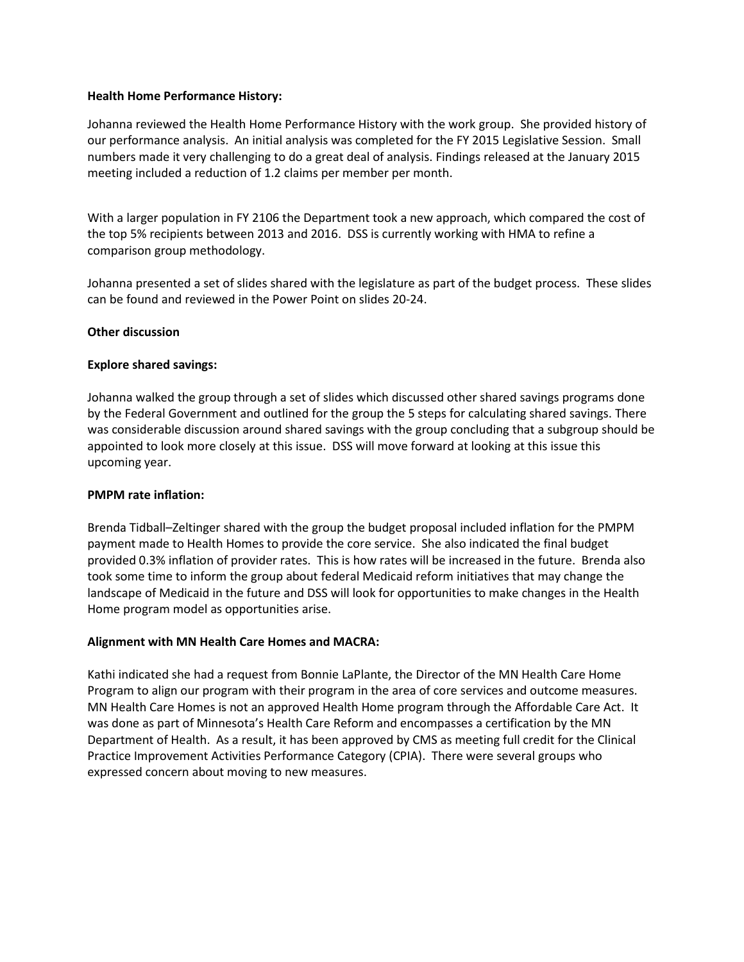#### **Health Home Performance History:**

Johanna reviewed the Health Home Performance History with the work group. She provided history of our performance analysis. An initial analysis was completed for the FY 2015 Legislative Session. Small numbers made it very challenging to do a great deal of analysis. Findings released at the January 2015 meeting included a reduction of 1.2 claims per member per month.

With a larger population in FY 2106 the Department took a new approach, which compared the cost of the top 5% recipients between 2013 and 2016. DSS is currently working with HMA to refine a comparison group methodology.

Johanna presented a set of slides shared with the legislature as part of the budget process. These slides can be found and reviewed in the Power Point on slides 20-24.

#### **Other discussion**

#### **Explore shared savings:**

Johanna walked the group through a set of slides which discussed other shared savings programs done by the Federal Government and outlined for the group the 5 steps for calculating shared savings. There was considerable discussion around shared savings with the group concluding that a subgroup should be appointed to look more closely at this issue. DSS will move forward at looking at this issue this upcoming year.

#### **PMPM rate inflation:**

Brenda Tidball–Zeltinger shared with the group the budget proposal included inflation for the PMPM payment made to Health Homes to provide the core service. She also indicated the final budget provided 0.3% inflation of provider rates. This is how rates will be increased in the future. Brenda also took some time to inform the group about federal Medicaid reform initiatives that may change the landscape of Medicaid in the future and DSS will look for opportunities to make changes in the Health Home program model as opportunities arise.

## **Alignment with MN Health Care Homes and MACRA:**

Kathi indicated she had a request from Bonnie LaPlante, the Director of the MN Health Care Home Program to align our program with their program in the area of core services and outcome measures. MN Health Care Homes is not an approved Health Home program through the Affordable Care Act. It was done as part of Minnesota's Health Care Reform and encompasses a certification by the MN Department of Health. As a result, it has been approved by CMS as meeting full credit for the Clinical Practice Improvement Activities Performance Category (CPIA). There were several groups who expressed concern about moving to new measures.